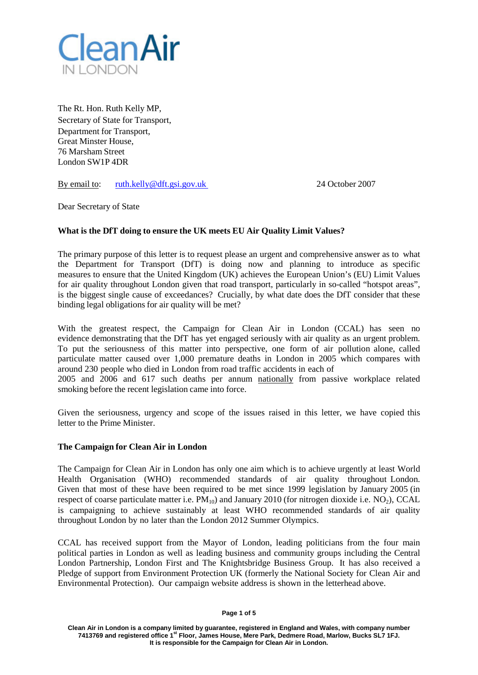

The Rt. Hon. Ruth Kelly MP, Secretary of State for Transport, Department for Transport, Great Minster House, 76 Marsham Street London SW1P 4DR

By email to: [ruth.kelly@dft.gsi.gov.uk](mailto:ruth.kelly@dft.gsi.gov.uk) 24 October 2007

Dear Secretary of State

# **What is the DfT doing to ensure the UK meets EU Air Quality Limit Values?**

The primary purpose of this letter is to request please an urgent and comprehensive answer as to what the Department for Transport (DfT) is doing now and planning to introduce as specific measures to ensure that the United Kingdom (UK) achieves the European Union's (EU) Limit Values for air quality throughout London given that road transport, particularly in so-called "hotspot areas", is the biggest single cause of exceedances? Crucially, by what date does the DfT consider that these binding legal obligations for air quality will be met?

With the greatest respect, the Campaign for Clean Air in London (CCAL) has seen no evidence demonstrating that the DfT has yet engaged seriously with air quality as an urgent problem. To put the seriousness of this matter into perspective, one form of air pollution alone, called particulate matter caused over 1,000 premature deaths in London in 2005 which compares with around 230 people who died in London from road traffic accidents in each of 2005 and 2006 and 617 such deaths per annum nationally from passive workplace related smoking before the recent legislation came into force.

Given the seriousness, urgency and scope of the issues raised in this letter, we have copied this letter to the Prime Minister.

### **The Campaign for Clean Air in London**

The Campaign for Clean Air in London has only one aim which is to achieve urgently at least World Health Organisation (WHO) recommended standards of air quality throughout London. Given that most of these have been required to be met since 1999 legislation by January 2005 (in respect of coarse particulate matter i.e.  $PM_{10}$  and January 2010 (for nitrogen dioxide i.e. NO<sub>2</sub>), CCAL is campaigning to achieve sustainably at least WHO recommended standards of air quality throughout London by no later than the London 2012 Summer Olympics.

CCAL has received support from the Mayor of London, leading politicians from the four main political parties in London as well as leading business and community groups including the Central London Partnership, London First and The Knightsbridge Business Group. It has also received a Pledge of support from Environment Protection UK (formerly the National Society for Clean Air and Environmental Protection). Our campaign website address is shown in the letterhead above.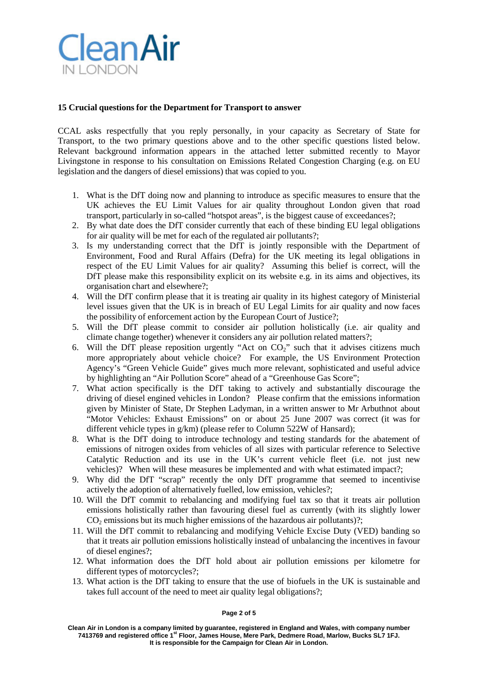

## **15 Crucial questions for the Department for Transport to answer**

CCAL asks respectfully that you reply personally, in your capacity as Secretary of State for Transport, to the two primary questions above and to the other specific questions listed below. Relevant background information appears in the attached letter submitted recently to Mayor Livingstone in response to his consultation on Emissions Related Congestion Charging (e.g. on EU legislation and the dangers of diesel emissions) that was copied to you.

- 1. What is the DfT doing now and planning to introduce as specific measures to ensure that the UK achieves the EU Limit Values for air quality throughout London given that road transport, particularly in so-called "hotspot areas", is the biggest cause of exceedances?;
- 2. By what date does the DfT consider currently that each of these binding EU legal obligations for air quality will be met for each of the regulated air pollutants?;
- 3. Is my understanding correct that the DfT is jointly responsible with the Department of Environment, Food and Rural Affairs (Defra) for the UK meeting its legal obligations in respect of the EU Limit Values for air quality? Assuming this belief is correct, will the DfT please make this responsibility explicit on its website e.g. in its aims and objectives, its organisation chart and elsewhere?;
- 4. Will the DfT confirm please that it is treating air quality in its highest category of Ministerial level issues given that the UK is in breach of EU Legal Limits for air quality and now faces the possibility of enforcement action by the European Court of Justice?;
- 5. Will the DfT please commit to consider air pollution holistically (i.e. air quality and climate change together) whenever it considers any air pollution related matters?;
- 6. Will the DfT please reposition urgently "Act on  $CO<sub>2</sub>$ " such that it advises citizens much more appropriately about vehicle choice? For example, the US Environment Protection Agency's "Green Vehicle Guide" gives much more relevant, sophisticated and useful advice by highlighting an "Air Pollution Score" ahead of a "Greenhouse Gas Score";
- 7. What action specifically is the DfT taking to actively and substantially discourage the driving of diesel engined vehicles in London? Please confirm that the emissions information given by Minister of State, Dr Stephen Ladyman, in a written answer to Mr Arbuthnot about "Motor Vehicles: Exhaust Emissions" on or about 25 June 2007 was correct (it was for different vehicle types in g/km) (please refer to Column 522W of Hansard);
- 8. What is the DfT doing to introduce technology and testing standards for the abatement of emissions of nitrogen oxides from vehicles of all sizes with particular reference to Selective Catalytic Reduction and its use in the UK's current vehicle fleet (i.e. not just new vehicles)? When will these measures be implemented and with what estimated impact?;
- 9. Why did the DfT "scrap" recently the only DfT programme that seemed to incentivise actively the adoption of alternatively fuelled, low emission, vehicles?;
- 10. Will the DfT commit to rebalancing and modifying fuel tax so that it treats air pollution emissions holistically rather than favouring diesel fuel as currently (with its slightly lower  $CO<sub>2</sub>$  emissions but its much higher emissions of the hazardous air pollutants)?;
- 11. Will the DfT commit to rebalancing and modifying Vehicle Excise Duty (VED) banding so that it treats air pollution emissions holistically instead of unbalancing the incentives in favour of diesel engines?;
- 12. What information does the DfT hold about air pollution emissions per kilometre for different types of motorcycles?;
- 13. What action is the DfT taking to ensure that the use of biofuels in the UK is sustainable and takes full account of the need to meet air quality legal obligations?;

#### **Page 2 of 5**

**Clean Air in London is a company limited by guarantee, registered in England and Wales, with company number 7413769 and registered office 1st Floor, James House, Mere Park, Dedmere Road, Marlow, Bucks SL7 1FJ. It is responsible for the Campaign for Clean Air in London.**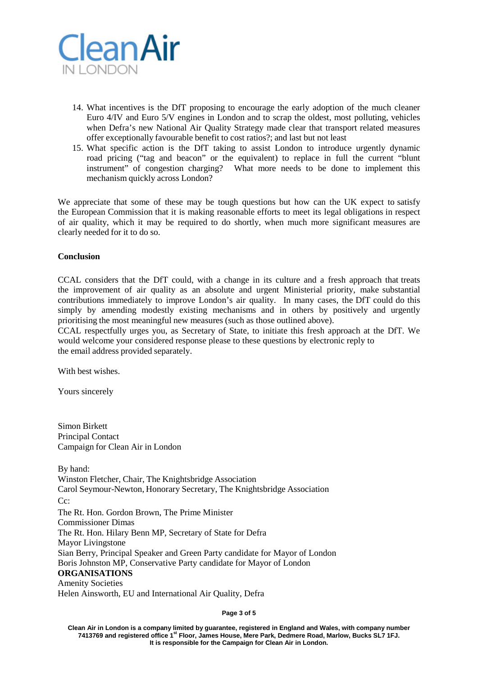

- 14. What incentives is the DfT proposing to encourage the early adoption of the much cleaner Euro 4/IV and Euro 5/V engines in London and to scrap the oldest, most polluting, vehicles when Defra's new National Air Quality Strategy made clear that transport related measures offer exceptionally favourable benefit to cost ratios?; and last but not least
- 15. What specific action is the DfT taking to assist London to introduce urgently dynamic road pricing ("tag and beacon" or the equivalent) to replace in full the current "blunt instrument" of congestion charging? What more needs to be done to implement this mechanism quickly across London?

We appreciate that some of these may be tough questions but how can the UK expect to satisfy the European Commission that it is making reasonable efforts to meet its legal obligations in respect of air quality, which it may be required to do shortly, when much more significant measures are clearly needed for it to do so.

#### **Conclusion**

CCAL considers that the DfT could, with a change in its culture and a fresh approach that treats the improvement of air quality as an absolute and urgent Ministerial priority, make substantial contributions immediately to improve London's air quality. In many cases, the DfT could do this simply by amending modestly existing mechanisms and in others by positively and urgently prioritising the most meaningful new measures (such as those outlined above).

CCAL respectfully urges you, as Secretary of State, to initiate this fresh approach at the DfT. We would welcome your considered response please to these questions by electronic reply to the email address provided separately.

With best wishes.

Yours sincerely

Simon Birkett Principal Contact Campaign for Clean Air in London

By hand: Winston Fletcher, Chair, The Knightsbridge Association Carol Seymour-Newton, Honorary Secretary, The Knightsbridge Association Cc: The Rt. Hon. Gordon Brown, The Prime Minister Commissioner Dimas The Rt. Hon. Hilary Benn MP, Secretary of State for Defra Mayor Livingstone Sian Berry, Principal Speaker and Green Party candidate for Mayor of London Boris Johnston MP, Conservative Party candidate for Mayor of London **ORGANISATIONS** Amenity Societies Helen Ainsworth, EU and International Air Quality, Defra

**Page 3 of 5**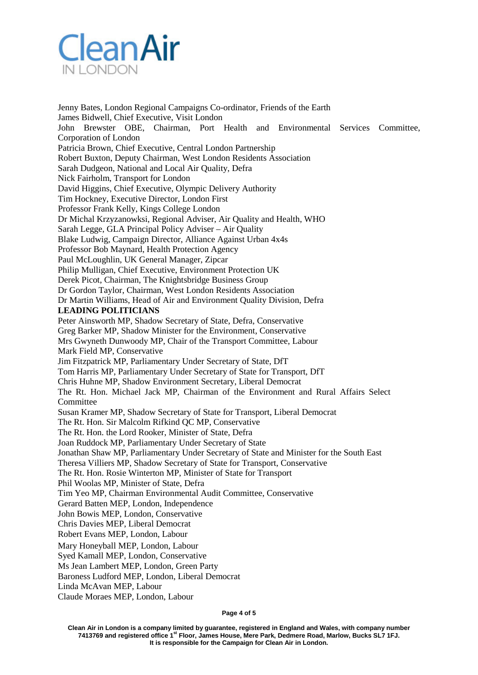

Jenny Bates, London Regional Campaigns Co-ordinator, Friends of the Earth James Bidwell, Chief Executive, Visit London John Brewster OBE, Chairman, Port Health and Environmental Services Committee, Corporation of London Patricia Brown, Chief Executive, Central London Partnership Robert Buxton, Deputy Chairman, West London Residents Association Sarah Dudgeon, National and Local Air Quality, Defra Nick Fairholm, Transport for London David Higgins, Chief Executive, Olympic Delivery Authority Tim Hockney, Executive Director, London First Professor Frank Kelly, Kings College London Dr Michal Krzyzanowksi, Regional Adviser, Air Quality and Health, WHO Sarah Legge, GLA Principal Policy Adviser – Air Quality Blake Ludwig, Campaign Director, Alliance Against Urban 4x4s Professor Bob Maynard, Health Protection Agency Paul McLoughlin, UK General Manager, Zipcar Philip Mulligan, Chief Executive, Environment Protection UK Derek Picot, Chairman, The Knightsbridge Business Group Dr Gordon Taylor, Chairman, West London Residents Association Dr Martin Williams, Head of Air and Environment Quality Division, Defra **LEADING POLITICIANS** Peter Ainsworth MP, Shadow Secretary of State, Defra, Conservative Greg Barker MP, Shadow Minister for the Environment, Conservative Mrs Gwyneth Dunwoody MP, Chair of the Transport Committee, Labour Mark Field MP, Conservative Jim Fitzpatrick MP, Parliamentary Under Secretary of State, DfT Tom Harris MP, Parliamentary Under Secretary of State for Transport, DfT Chris Huhne MP, Shadow Environment Secretary, Liberal Democrat The Rt. Hon. Michael Jack MP, Chairman of the Environment and Rural Affairs Select Committee Susan Kramer MP, Shadow Secretary of State for Transport, Liberal Democrat The Rt. Hon. Sir Malcolm Rifkind QC MP, Conservative The Rt. Hon. the Lord Rooker, Minister of State, Defra Joan Ruddock MP, Parliamentary Under Secretary of State Jonathan Shaw MP, Parliamentary Under Secretary of State and Minister for the South East Theresa Villiers MP, Shadow Secretary of State for Transport, Conservative The Rt. Hon. Rosie Winterton MP, Minister of State for Transport Phil Woolas MP, Minister of State, Defra Tim Yeo MP, Chairman Environmental Audit Committee, Conservative Gerard Batten MEP, London, Independence John Bowis MEP, London, Conservative Chris Davies MEP, Liberal Democrat Robert Evans MEP, London, Labour Mary Honeyball MEP, London, Labour Syed Kamall MEP, London, Conservative Ms Jean Lambert MEP, London, Green Party Baroness Ludford MEP, London, Liberal Democrat Linda McAvan MEP, Labour

Claude Moraes MEP, London, Labour